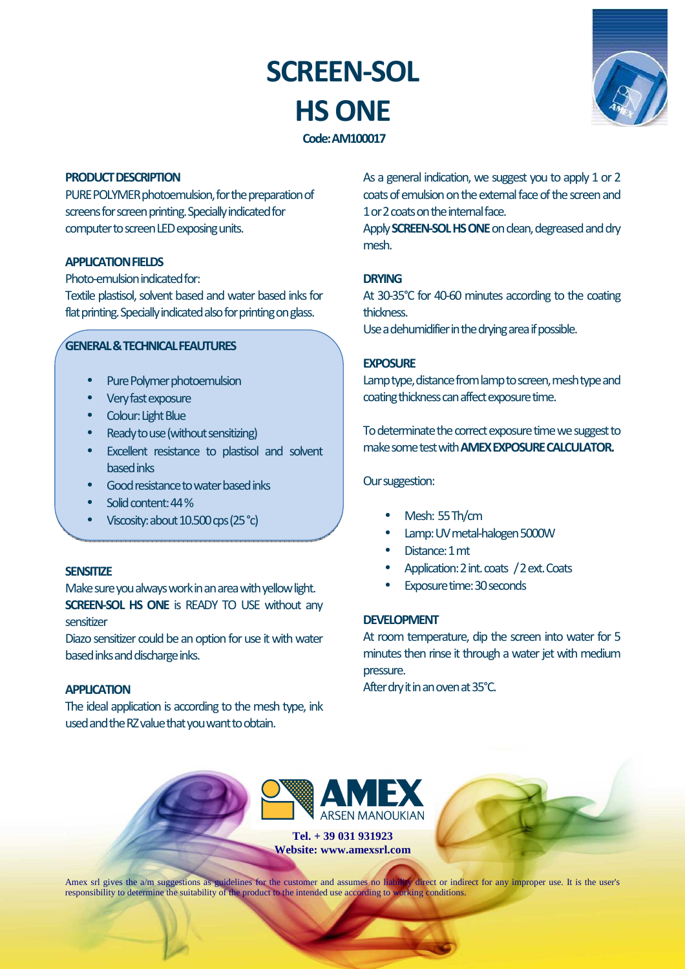# **SCREEN-SOL HS ONE**



# **Code: AM100017**

## **PRODUCT DESCRIPTION**

PURE POLYMER photoemulsion, for the preparation of screens for screen printing. Specially indicated for computer to screen LED exposing units.

## **APPLICATION FIELDS**

Photo-emulsion indicated for:

Textile plastisol, solvent based and water based inks for flat printing. Specially indicated also for printing on glass.

## **GENERAL & TECHNICAL FEAUTURES**

- Pure Polymer photoemulsion
- Very fast exposure
- Colour: Light Blue
- Ready to use (without sensitizing)
- Excellent resistance to plastisol and solvent based inks
- Good resistance to water based inks
- Solid content: 44 %
- Viscosity: about 10.500 cps (25 °c)

#### **SENSITIZE**

Make sure you always work in an area with yellow light. **SCREEN-SOL HS ONE** is READY TO USE without any sensitizer

Diazo sensitizer could be an option for use it with water based inks and discharge inks.

### **APPLICATION**

The ideal application is according to the mesh type, ink used and the RZ value that you want to obtain.

As a general indication, we suggest you to apply 1 or 2 coats of emulsion on the external face of the screen and 1 or 2 coats on the internal face.

Apply **SCREEN-SOL HS ONE** on clean, degreased and dry mesh.

## **DRYING**

At 30-35°C for 40-60 minutes according to the coating thickness.

Use a dehumidifier in the drying area if possible.

#### **EXPOSURE**

Lamp type, distance from lamp to screen, mesh type and coating thickness can affect exposure time.

To determinate the correct exposure time we suggest to make some test with **AMEX EXPOSURE CALCULATOR.** 

#### Our suggestion:

- Mesh: 55 Th/cm
- Lamp: UV metal-halogen 5000W
- Distance: 1 mt
- Application: 2 int. coats / 2 ext. Coats
- Exposure time: 30 seconds

### **DEVELOPMENT**

At room temperature, dip the screen into water for 5 minutes then rinse it through a water jet with medium pressure.

After dry it in an oven at 35°C.



**Tel. + 39 031 931923 Website: www.amexsrl.com** 

Amex srl gives the a/m suggestions as guidelines for the customer and assumes no liability direct or indirect for any improper use. It is the user's responsibility to determine the suitability of the product to the intended use according to working conditions.